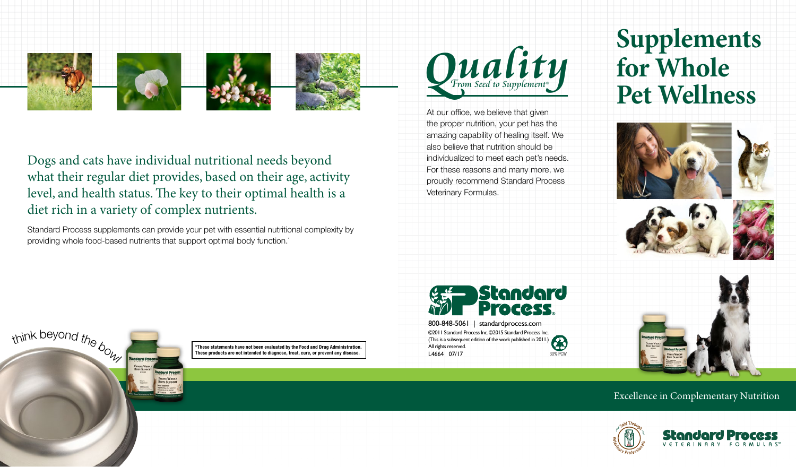

Dogs and cats have individual nutritional needs beyond what their regular diet provides, based on their age, activity level, and health status. The key to their optimal health is a diet rich in a variety of complex nutrients.

Standard Process supplements can provide your pet with essential nutritional complexity by providing whole food-based nutrients that support optimal body function.<sup>\*</sup>



At our office, we believe that given the proper nutrition, your pet has the amazing capability of healing itself. We also believe that nutrition should be individualized to meet each pet's needs. For these reasons and many more, we proudly recommend Standard Process Veterinary Formulas.

**Supplements for Whole Pet Wellness**









©2011 Standard Process Inc. ©2015 Standard Process Inc. (This is a subsequent edition of the work published in 2011.) All rights reserved. L4664 07/17 30% PCW



\*These statements have not been evaluated by the Food and Drug Administration. These products are not intended to diagnose, treat, cure, or prevent any disease.

Excellence in Complementary Nutrition